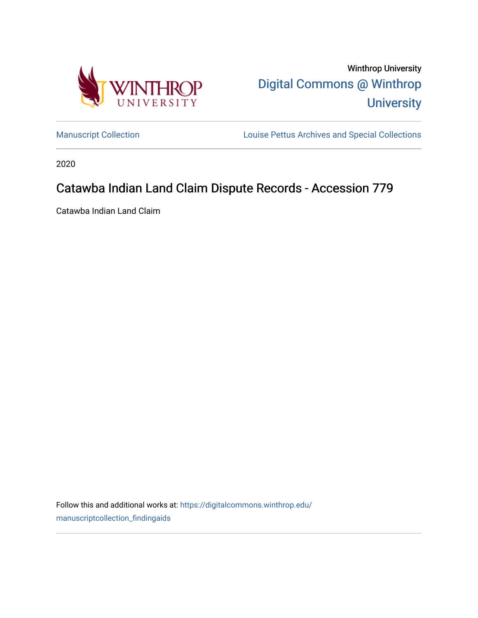

Winthrop University [Digital Commons @ Winthrop](https://digitalcommons.winthrop.edu/)  **University** 

[Manuscript Collection](https://digitalcommons.winthrop.edu/manuscriptcollection_findingaids) **Louise Pettus Archives and Special Collections** 

2020

# Catawba Indian Land Claim Dispute Records - Accession 779

Catawba Indian Land Claim

Follow this and additional works at: [https://digitalcommons.winthrop.edu/](https://digitalcommons.winthrop.edu/manuscriptcollection_findingaids?utm_source=digitalcommons.winthrop.edu%2Fmanuscriptcollection_findingaids%2F1243&utm_medium=PDF&utm_campaign=PDFCoverPages) [manuscriptcollection\\_findingaids](https://digitalcommons.winthrop.edu/manuscriptcollection_findingaids?utm_source=digitalcommons.winthrop.edu%2Fmanuscriptcollection_findingaids%2F1243&utm_medium=PDF&utm_campaign=PDFCoverPages)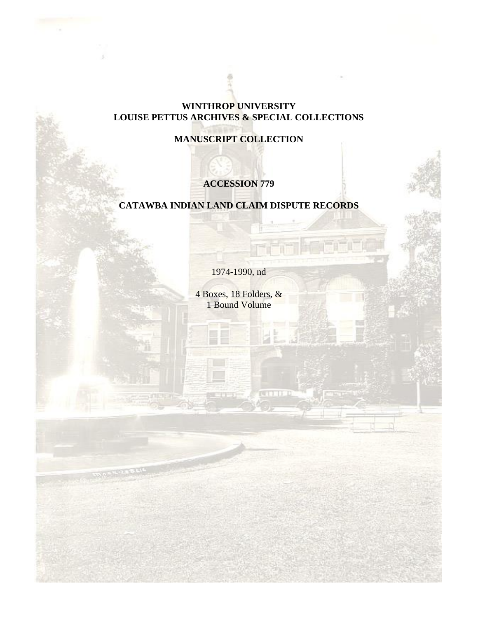### **WINTHROP UNIVERSITY LOUISE PETTUS ARCHIVES & SPECIAL COLLECTIONS**

# **MANUSCRIPT COLLECTION**

# **ACCESSION 779**

### **CATAWBA INDIAN LAND CLAIM DISPUTE RECORDS**

1974-1990, nd

4 Boxes, 18 Folders, & 1 Bound Volume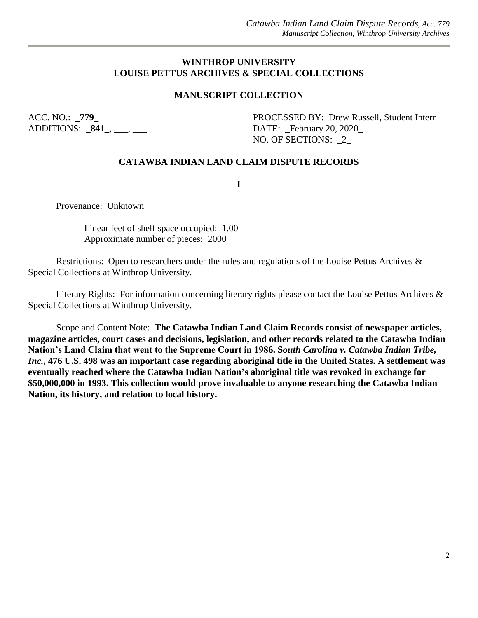#### **WINTHROP UNIVERSITY LOUISE PETTUS ARCHIVES & SPECIAL COLLECTIONS**

#### **MANUSCRIPT COLLECTION**

ADDITIONS: **\_841\_**, \_\_\_, \_\_\_ DATE: \_February 20, 2020\_

ACC. NO.: **779 PROCESSED BY: Drew Russell, Student Intern** NO. OF SECTIONS: \_2\_

#### **CATAWBA INDIAN LAND CLAIM DISPUTE RECORDS**

**I**

Provenance: Unknown

Linear feet of shelf space occupied: 1.00 Approximate number of pieces: 2000

Restrictions: Open to researchers under the rules and regulations of the Louise Pettus Archives & Special Collections at Winthrop University.

Literary Rights: For information concerning literary rights please contact the Louise Pettus Archives & Special Collections at Winthrop University.

Scope and Content Note: **The Catawba Indian Land Claim Records consist of newspaper articles, magazine articles, court cases and decisions, legislation, and other records related to the Catawba Indian Nation's Land Claim that went to the Supreme Court in 1986. S***outh Carolina v. Catawba Indian Tribe, Inc.***, 476 U.S. 498 was an important case regarding aboriginal title in the United States. A settlement was eventually reached where the Catawba Indian Nation's aboriginal title was revoked in exchange for \$50,000,000 in 1993. This collection would prove invaluable to anyone researching the Catawba Indian Nation, its history, and relation to local history.**